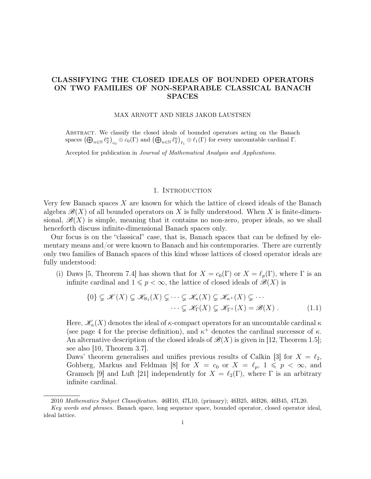# CLASSIFYING THE CLOSED IDEALS OF BOUNDED OPERATORS ON TWO FAMILIES OF NON-SEPARABLE CLASSICAL BANACH SPACES

#### MAX ARNOTT AND NIELS JAKOB LAUSTSEN

Abstract. We classify the closed ideals of bounded operators acting on the Banach spaces  $(\bigoplus_{n\in\mathbb{N}}\ell_2^n)_{c_0}\oplus c_0(\Gamma)$  and  $(\bigoplus_{n\in\mathbb{N}}\ell_2^n)_{\ell_1}\oplus\ell_1(\Gamma)$  for every uncountable cardinal  $\Gamma$ .

Accepted for publication in Journal of Mathematical Analysis and Applications.

## <span id="page-0-0"></span>1. INTRODUCTION

Very few Banach spaces X are known for which the lattice of closed ideals of the Banach algebra  $\mathscr{B}(X)$  of all bounded operators on X is fully understood. When X is finite-dimensional,  $\mathscr{B}(X)$  is simple, meaning that it contains no non-zero, proper ideals, so we shall henceforth discuss infinite-dimensional Banach spaces only.

Our focus is on the "classical" case, that is, Banach spaces that can be defined by elementary means and/or were known to Banach and his contemporaries. There are currently only two families of Banach spaces of this kind whose lattices of closed operator ideals are fully understood:

(i) Daws [\[5,](#page-9-0) Theorem 7.4] has shown that for  $X = c_0(\Gamma)$  or  $X = \ell_p(\Gamma)$ , where  $\Gamma$  is an infinite cardinal and  $1 \leq p < \infty$ , the lattice of closed ideals of  $\mathscr{B}(X)$  is

$$
\{0\} \subsetneq \mathscr{K}(X) \subsetneq \mathscr{K}_{\aleph_1}(X) \subsetneq \cdots \subsetneq \mathscr{K}_{\kappa}(X) \subsetneq \mathscr{K}_{\kappa^+}(X) \subsetneq \cdots
$$
  

$$
\cdots \subsetneq \mathscr{K}_{\Gamma}(X) \subsetneq \mathscr{K}_{\Gamma^+}(X) = \mathscr{B}(X) . \tag{1.1}
$$

Here,  $\mathscr{K}_{\kappa}(X)$  denotes the ideal of  $\kappa$ -compact operators for an uncountable cardinal  $\kappa$ (see page [4](#page-2-0) for the precise definition), and  $\kappa^+$  denotes the cardinal successor of  $\kappa$ . An alternative description of the closed ideals of  $\mathscr{B}(X)$  is given in [\[12,](#page-9-1) Theorem 1.5]; see also [\[10,](#page-9-2) Theorem 3.7].

Daws' theorem generalises and unifies previous results of Calkin [\[3\]](#page-9-3) for  $X = \ell_2$ , Gohberg, Markus and Feldman [\[8\]](#page-9-4) for  $X = c_0$  or  $X = \ell_p, 1 \leq p < \infty$ , and Gramsch [\[9\]](#page-9-5) and Luft [\[21\]](#page-9-6) independently for  $X = \ell_2(\Gamma)$ , where  $\Gamma$  is an arbitrary infinite cardinal.

<sup>2010</sup> Mathematics Subject Classification. 46H10, 47L10, (primary); 46B25, 46B26, 46B45, 47L20. Key words and phrases. Banach space, long sequence space, bounded operator, closed operator ideal, ideal lattice.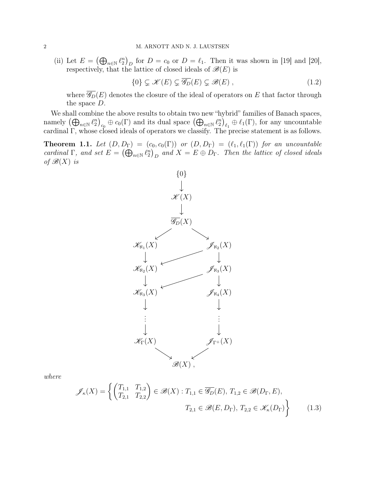(ii) Let  $E = (\bigoplus_{n \in \mathbb{N}} \ell_2^n)_{D}$  for  $D = c_0$  or  $D = \ell_1$ . Then it was shown in [\[19\]](#page-9-7) and [\[20\]](#page-9-8), respectively, that the lattice of closed ideals of  $\mathcal{B}(E)$  is

<span id="page-1-1"></span>
$$
\{0\} \subsetneq \mathscr{K}(E) \subsetneq \overline{\mathscr{G}_D}(E) \subsetneq \mathscr{B}(E) ,
$$
\n
$$
(1.2)
$$

where  $\overline{\mathscr{G}_D}(E)$  denotes the closure of the ideal of operators on E that factor through the space D.

We shall combine the above results to obtain two new "hybrid" families of Banach spaces, namely  $(\bigoplus_{n\in\mathbb{N}}\ell_2^n)_{c_0}\oplus c_0(\Gamma)$  and its dual space  $(\bigoplus_{n\in\mathbb{N}}\ell_2^n)_{\ell_1}\oplus\ell_1(\Gamma)$ , for any uncountable cardinal Γ, whose closed ideals of operators we classify. The precise statement is as follows.

<span id="page-1-0"></span>**Theorem 1.1.** Let  $(D, D_{\Gamma}) = (c_0, c_0(\Gamma))$  or  $(D, D_{\Gamma}) = (\ell_1, \ell_1(\Gamma))$  for an uncountable cardinal  $\Gamma$ , and set  $E = (\bigoplus_{n \in \mathbb{N}} \ell_2^n)_D$  and  $X = E \oplus D_{\Gamma}$ . Then the lattice of closed ideals of  $\mathscr{B}(X)$  is



where

<span id="page-1-2"></span>
$$
\mathscr{J}_{\kappa}(X) = \left\{ \begin{pmatrix} T_{1,1} & T_{1,2} \\ T_{2,1} & T_{2,2} \end{pmatrix} \in \mathscr{B}(X) : T_{1,1} \in \overline{\mathscr{G}_D}(E), T_{1,2} \in \mathscr{B}(D_{\Gamma}, E),
$$
  

$$
T_{2,1} \in \mathscr{B}(E, D_{\Gamma}), T_{2,2} \in \mathscr{K}_{\kappa}(D_{\Gamma}) \right\}
$$
(1.3)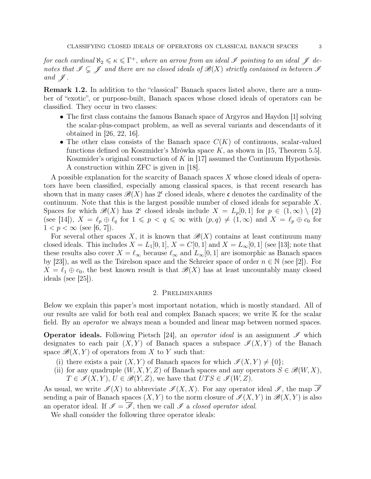for each cardinal  $\aleph_2 \leqslant \kappa \leqslant \Gamma^+$ , where an arrow from an ideal  $\mathscr I$  pointing to an ideal  $\mathscr J$  denotes that  $\mathscr{I} \subsetneq \mathscr{I}$  and there are no closed ideals of  $\mathscr{B}(X)$  strictly contained in between  $\mathscr{I}$ and  $\mathscr{J}$ .

Remark 1.2. In addition to the "classical" Banach spaces listed above, there are a number of "exotic", or purpose-built, Banach spaces whose closed ideals of operators can be classified. They occur in two classes:

- The first class contains the famous Banach space of Argyros and Haydon [\[1\]](#page-9-9) solving the scalar-plus-compact problem, as well as several variants and descendants of it obtained in [\[26,](#page-10-0) [22,](#page-9-10) [16\]](#page-9-11).
- The other class consists of the Banach space  $C(K)$  of continuous, scalar-valued functions defined on Koszmider's Mrówka space  $K$ , as shown in [\[15,](#page-9-12) Theorem 5.5]. Koszmider's original construction of  $K$  in [\[17\]](#page-9-13) assumed the Continuum Hypothesis. A construction within ZFC is given in [\[18\]](#page-9-14).

A possible explanation for the scarcity of Banach spaces X whose closed ideals of operators have been classified, especially among classical spaces, is that recent research has shown that in many cases  $\mathscr{B}(X)$  has 2<sup>c</sup> closed ideals, where c denotes the cardinality of the continuum. Note that this is the largest possible number of closed ideals for separable X. Spaces for which  $\mathscr{B}(X)$  has 2<sup>c</sup> closed ideals include  $X = L_p[0,1]$  for  $p \in (1,\infty) \setminus \{2\}$ (see [\[14\]](#page-9-15)),  $X = \ell_p \oplus \ell_q$  for  $1 \leq p < q \leq \infty$  with  $(p, q) \neq (1, \infty)$  and  $X = \ell_p \oplus c_0$  for  $1 < p < \infty$  (see [\[6,](#page-9-16) [7\]](#page-9-17)).

For several other spaces X, it is known that  $\mathscr{B}(X)$  contains at least continuum many closed ideals. This includes  $X = L_1[0, 1], X = C[0, 1]$  and  $X = L_\infty[0, 1]$  (see [\[13\]](#page-9-18); note that these results also cover  $X = \ell_{\infty}$  because  $\ell_{\infty}$  and  $L_{\infty}[0, 1]$  are isomorphic as Banach spaces by [\[23\]](#page-9-19)), as well as the Tsirelson space and the Schreier space of order  $n \in \mathbb{N}$  (see [\[2\]](#page-9-20)). For  $X = \ell_1 \oplus \ell_0$ , the best known result is that  $\mathscr{B}(X)$  has at least uncountably many closed ideals (see [\[25\]](#page-9-21)).

## 2. Preliminaries

Below we explain this paper's most important notation, which is mostly standard. All of our results are valid for both real and complex Banach spaces; we write K for the scalar field. By an operator we always mean a bounded and linear map between normed spaces.

**Operator ideals.** Following Pietsch [\[24\]](#page-9-22), an *operator ideal* is an assignment  $\mathscr I$  which designates to each pair  $(X, Y)$  of Banach spaces a subspace  $\mathcal{I}(X, Y)$  of the Banach space  $\mathcal{B}(X, Y)$  of operators from X to Y such that:

- (i) there exists a pair  $(X, Y)$  of Banach spaces for which  $\mathscr{I}(X, Y) \neq \{0\};$
- <span id="page-2-0"></span>(ii) for any quadruple  $(W, X, Y, Z)$  of Banach spaces and any operators  $S \in \mathcal{B}(W, X)$ ,  $T \in \mathcal{I}(X, Y), U \in \mathcal{B}(Y, Z),$  we have that  $UTS \in \mathcal{I}(W, Z)$ .

As usual, we write  $\mathscr{I}(X)$  to abbreviate  $\mathscr{I}(X,X)$ . For any operator ideal  $\mathscr{I}$ , the map  $\overline{\mathscr{I}}$ sending a pair of Banach spaces  $(X, Y)$  to the norm closure of  $\mathscr{I}(X, Y)$  in  $\mathscr{B}(X, Y)$  is also an operator ideal. If  $\mathscr{I} = \overline{\mathscr{I}}$ , then we call  $\mathscr{I}$  a closed operator ideal.

We shall consider the following three operator ideals: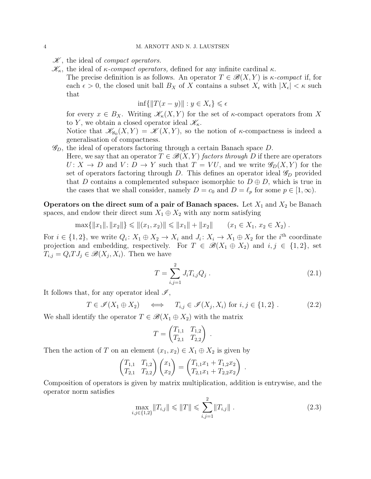$\mathscr K$ , the ideal of *compact operators*.

- $\mathscr{K}_{\kappa}$ , the ideal of  $\kappa$ -compact operators, defined for any infinite cardinal  $\kappa$ .
	- The precise definition is as follows. An operator  $T \in \mathcal{B}(X,Y)$  is  $\kappa$ -compact if, for each  $\epsilon > 0$ , the closed unit ball  $B_X$  of X contains a subset  $X_{\epsilon}$  with  $|X_{\epsilon}| < \kappa$  such that

$$
\inf\{\|T(x-y)\|: y \in X_{\epsilon}\} \leqslant \epsilon
$$

for every  $x \in B_X$ . Writing  $\mathscr{K}_{\kappa}(X, Y)$  for the set of  $\kappa$ -compact operators from X to Y, we obtain a closed operator ideal  $\mathscr{K}_{\kappa}$ .

Notice that  $\mathscr{K}_{N_0}(X,Y) = \mathscr{K}(X,Y)$ , so the notion of  $\kappa$ -compactness is indeed a generalisation of compactness.

- $\mathscr{G}_D$ , the ideal of operators factoring through a certain Banach space D.
	- Here, we say that an operator  $T \in \mathcal{B}(X, Y)$  factors through D if there are operators  $U: X \to D$  and  $V: D \to Y$  such that  $T = VU$ , and we write  $\mathscr{G}_D(X, Y)$  for the set of operators factoring through D. This defines an operator ideal  $\mathscr{G}_D$  provided that D contains a complemented subspace isomorphic to  $D \oplus D$ , which is true in the cases that we shall consider, namely  $D = c_0$  and  $D = \ell_p$  for some  $p \in [1,\infty)$ .

Operators on the direct sum of a pair of Banach spaces. Let  $X_1$  and  $X_2$  be Banach spaces, and endow their direct sum  $X_1 \oplus X_2$  with any norm satisfying

$$
\max\{\|x_1\|, \|x_2\|\} \le \| (x_1, x_2)\| \le \|x_1\| + \|x_2\| \qquad (x_1 \in X_1, x_2 \in X_2) .
$$

For  $i \in \{1,2\}$ , we write  $Q_i: X_1 \oplus X_2 \to X_i$  and  $J_i: X_i \to X_1 \oplus X_2$  for the  $i^{\text{th}}$  coordinate projection and embedding, respectively. For  $T \in \mathcal{B}(X_1 \oplus X_2)$  and  $i, j \in \{1, 2\}$ , set  $T_{i,j} = Q_i T J_j \in \mathscr{B}(X_j, X_i)$ . Then we have

<span id="page-3-1"></span>
$$
T = \sum_{i,j=1}^{2} J_i T_{i,j} Q_j . \qquad (2.1)
$$

.

It follows that, for any operator ideal  $\mathscr{I}$ ,

<span id="page-3-0"></span>
$$
T \in \mathscr{I}(X_1 \oplus X_2) \quad \iff \quad T_{i,j} \in \mathscr{I}(X_j, X_i) \text{ for } i, j \in \{1, 2\} \,.
$$
 (2.2)

We shall identify the operator  $T \in \mathcal{B}(X_1 \oplus X_2)$  with the matrix

$$
T = \begin{pmatrix} T_{1,1} & T_{1,2} \\ T_{2,1} & T_{2,2} \end{pmatrix} .
$$

Then the action of T on an element  $(x_1, x_2) \in X_1 \oplus X_2$  is given by

$$
\begin{pmatrix} T_{1,1} & T_{1,2} \\ T_{2,1} & T_{2,2} \end{pmatrix} \begin{pmatrix} x_1 \\ x_2 \end{pmatrix} = \begin{pmatrix} T_{1,1}x_1 + T_{1,2}x_2 \\ T_{2,1}x_1 + T_{2,2}x_2 \end{pmatrix}
$$

Composition of operators is given by matrix multiplication, addition is entrywise, and the operator norm satisfies

<span id="page-3-2"></span>
$$
\max_{i,j \in \{1,2\}} \|T_{i,j}\| \le \|T\| \le \sum_{i,j=1}^2 \|T_{i,j}\|.
$$
\n(2.3)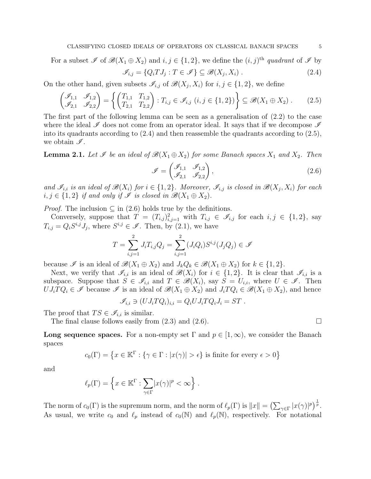For a subset  $\mathscr{I}$  of  $\mathscr{B}(X_1 \oplus X_2)$  and  $i, j \in \{1, 2\}$ , we define the  $(i, j)$ <sup>th</sup> quadrant of  $\mathscr{I}$  by

<span id="page-4-0"></span>
$$
\mathscr{I}_{i,j} = \{Q_i T J_j : T \in \mathscr{I}\} \subseteq \mathscr{B}(X_j, X_i) .
$$
\n(2.4)

On the other hand, given subsets  $\mathscr{I}_{i,j}$  of  $\mathscr{B}(X_j,X_i)$  for  $i,j \in \{1,2\}$ , we define

<span id="page-4-1"></span>
$$
\begin{pmatrix} \mathcal{I}_{1,1} & \mathcal{I}_{1,2} \\ \mathcal{I}_{2,1} & \mathcal{I}_{2,2} \end{pmatrix} = \left\{ \begin{pmatrix} T_{1,1} & T_{1,2} \\ T_{2,1} & T_{2,2} \end{pmatrix} : T_{i,j} \in \mathcal{I}_{i,j} \ (i,j \in \{1,2\}) \right\} \subseteq \mathscr{B}(X_1 \oplus X_2) \ . \tag{2.5}
$$

The first part of the following lemma can be seen as a generalisation of [\(2.2\)](#page-3-0) to the case where the ideal  $\mathscr I$  does not come from an operator ideal. It says that if we decompose  $\mathscr I$ into its quadrants according to  $(2.4)$  and then reassemble the quadrants according to  $(2.5)$ , we obtain  $\mathscr{I}$ .

<span id="page-4-3"></span>**Lemma 2.1.** Let  $\mathscr I$  be an ideal of  $\mathscr B(X_1 \oplus X_2)$  for some Banach spaces  $X_1$  and  $X_2$ . Then

<span id="page-4-2"></span>
$$
\mathscr{I} = \begin{pmatrix} \mathscr{I}_{1,1} & \mathscr{I}_{1,2} \\ \mathscr{I}_{2,1} & \mathscr{I}_{2,2} \end{pmatrix},\tag{2.6}
$$

and  $\mathscr{I}_{i,i}$  is an ideal of  $\mathscr{B}(X_i)$  for  $i \in \{1,2\}$ . Moreover,  $\mathscr{I}_{i,j}$  is closed in  $\mathscr{B}(X_j,X_i)$  for each  $i, j \in \{1, 2\}$  if and only if  $\mathscr{I}$  is closed in  $\mathscr{B}(X_1 \oplus X_2)$ .

*Proof.* The inclusion  $\subseteq$  in [\(2.6\)](#page-4-2) holds true by the definitions.

Conversely, suppose that  $T = (T_{i,j})_{i,j=1}^2$  with  $T_{i,j} \in \mathscr{I}_{i,j}$  for each  $i, j \in \{1,2\}$ , say  $T_{i,j} = Q_i S^{i,j} J_j$ , where  $S^{i,j} \in \mathscr{I}$ . Then, by [\(2.1\)](#page-3-1), we have

$$
T = \sum_{i,j=1}^{2} J_i T_{i,j} Q_j = \sum_{i,j=1}^{2} (J_i Q_i) S^{i,j} (J_j Q_j) \in \mathcal{I}
$$

because  $\mathscr I$  is an ideal of  $\mathscr B(X_1 \oplus X_2)$  and  $J_kQ_k \in \mathscr B(X_1 \oplus X_2)$  for  $k \in \{1,2\}$ .

Next, we verify that  $\mathscr{I}_{i,i}$  is an ideal of  $\mathscr{B}(X_i)$  for  $i \in \{1,2\}$ . It is clear that  $\mathscr{I}_{i,i}$  is a subspace. Suppose that  $S \in \mathscr{I}_{i,i}$  and  $T \in \mathscr{B}(X_i)$ , say  $S = U_{i,i}$ , where  $U \in \mathscr{I}$ . Then  $UJ_iTQ_i \in \mathscr{I}$  because  $\mathscr{I}$  is an ideal of  $\mathscr{B}(X_1 \oplus X_2)$  and  $J_iTQ_i \in \mathscr{B}(X_1 \oplus X_2)$ , and hence

$$
\mathscr{I}_{i,i} \ni (U J_i T Q_i)_{i,i} = Q_i U J_i T Q_i J_i = ST.
$$

The proof that  $TS \in \mathscr{I}_{i,i}$  is similar.

The final clause follows easily from [\(2.3\)](#page-3-2) and [\(2.6\)](#page-4-2).

**Long sequence spaces.** For a non-empty set  $\Gamma$  and  $p \in [1,\infty)$ , we consider the Banach spaces

$$
c_0(\Gamma) = \left\{ x \in \mathbb{K}^{\Gamma} : \{ \gamma \in \Gamma : |x(\gamma)| > \epsilon \} \text{ is finite for every } \epsilon > 0 \right\}
$$

and

$$
\ell_p(\Gamma) = \left\{ x \in \mathbb{K}^{\Gamma} : \sum_{\gamma \in \Gamma} |x(\gamma)|^p < \infty \right\}.
$$

The norm of  $c_0(\Gamma)$  is the supremum norm, and the norm of  $\ell_p(\Gamma)$  is  $||x|| = \left(\sum_{\gamma \in \Gamma} |x(\gamma)|^p\right)^{\frac{1}{p}}$ . As usual, we write  $c_0$  and  $\ell_p$  instead of  $c_0(\mathbb{N})$  and  $\ell_p(\mathbb{N})$ , respectively. For notational

$$
\qquad \qquad \Box
$$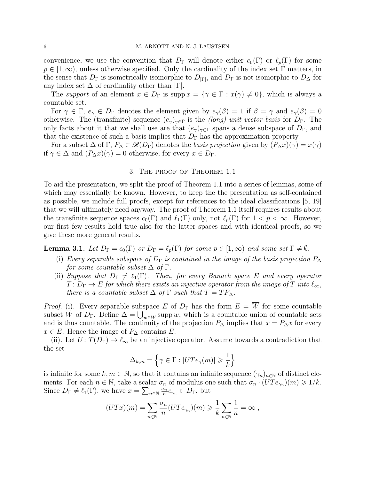convenience, we use the convention that  $D_{\Gamma}$  will denote either  $c_0(\Gamma)$  or  $\ell_p(\Gamma)$  for some  $p \in [1,\infty)$ , unless otherwise specified. Only the cardinality of the index set  $\Gamma$  matters, in the sense that  $D_{\Gamma}$  is isometrically isomorphic to  $D_{|\Gamma|}$ , and  $D_{\Gamma}$  is not isomorphic to  $D_{\Delta}$  for any index set  $\Delta$  of cardinality other than  $|\Gamma|$ .

The support of an element  $x \in D_{\Gamma}$  is supp $x = \{ \gamma \in \Gamma : x(\gamma) \neq 0 \}$ , which is always a countable set.

For  $\gamma \in \Gamma$ ,  $e_{\gamma} \in D_{\Gamma}$  denotes the element given by  $e_{\gamma}(\beta) = 1$  if  $\beta = \gamma$  and  $e_{\gamma}(\beta) = 0$ otherwise. The (transfinite) sequence  $(e_{\gamma})_{\gamma \in \Gamma}$  is the *(long) unit vector basis* for  $D_{\Gamma}$ . The only facts about it that we shall use are that  $(e_{\gamma})_{\gamma \in \Gamma}$  spans a dense subspace of  $D_{\Gamma}$ , and that the existence of such a basis implies that  $D_{\Gamma}$  has the approximation property.

For a subset  $\Delta$  of  $\Gamma$ ,  $P_{\Delta} \in \mathscr{B}(D_{\Gamma})$  denotes the *basis projection* given by  $(P_{\Delta}x)(\gamma) = x(\gamma)$ if  $\gamma \in \Delta$  and  $(P_{\Delta}x)(\gamma) = 0$  otherwise, for every  $x \in D_{\Gamma}$ .

## 3. The proof of Theorem [1.1](#page-1-0)

To aid the presentation, we split the proof of Theorem [1.1](#page-1-0) into a series of lemmas, some of which may essentially be known. However, to keep the the presentation as self-contained as possible, we include full proofs, except for references to the ideal classifications [\[5,](#page-9-0) [19\]](#page-9-7) that we will ultimately need anyway. The proof of Theorem [1.1](#page-1-0) itself requires results about the transfinite sequence spaces  $c_0(\Gamma)$  and  $\ell_1(\Gamma)$  only, not  $\ell_p(\Gamma)$  for  $1 < p < \infty$ . However, our first few results hold true also for the latter spaces and with identical proofs, so we give these more general results.

<span id="page-5-2"></span><span id="page-5-0"></span>**Lemma 3.1.** Let  $D_{\Gamma} = c_0(\Gamma)$  or  $D_{\Gamma} = \ell_p(\Gamma)$  for some  $p \in [1,\infty)$  and some set  $\Gamma \neq \emptyset$ .

- (i) Every separable subspace of  $D_{\Gamma}$  is contained in the image of the basis projection  $P_{\Delta}$ for some countable subset  $\Delta$  of  $\Gamma$ .
- <span id="page-5-1"></span>(ii) Suppose that  $D_{\Gamma} \neq \ell_1(\Gamma)$ . Then, for every Banach space E and every operator  $T: D_{\Gamma} \to E$  for which there exists an injective operator from the image of T into  $\ell_{\infty}$ , there is a countable subset  $\Delta$  of  $\Gamma$  such that  $T = TP_{\Delta}$ .

*Proof.* [\(i\).](#page-5-0) Every separable subspace E of  $D_{\Gamma}$  has the form  $E = \overline{W}$  for some countable subset W of  $D_{\Gamma}$ . Define  $\Delta = \bigcup_{w \in W} \text{supp } w$ , which is a countable union of countable sets and is thus countable. The continuity of the projection  $P_{\Delta}$  implies that  $x = P_{\Delta}x$  for every  $x \in E$ . Hence the image of  $P_{\Delta}$  contains E.

[\(ii\).](#page-5-1) Let  $U: T(D_{\Gamma}) \to \ell_{\infty}$  be an injective operator. Assume towards a contradiction that the set

$$
\Delta_{k,m}=\left\{\gamma\in\Gamma:|UTe_\gamma(m)|\geqslant\frac{1}{k}\right\}
$$

is infinite for some  $k, m \in \mathbb{N}$ , so that it contains an infinite sequence  $(\gamma_n)_{n \in \mathbb{N}}$  of distinct elements. For each  $n \in \mathbb{N}$ , take a scalar  $\sigma_n$  of modulus one such that  $\sigma_n \cdot (UTe_{\gamma_n})(m) \geq 1/k$ . Since  $D_{\Gamma} \neq \ell_1(\Gamma)$ , we have  $x = \sum_{n \in \mathbb{N}} \frac{\sigma_n}{n}$  $\frac{\sigma_n}{n}e_{\gamma_n} \in D_\Gamma$ , but

$$
(UTx)(m) = \sum_{n \in \mathbb{N}} \frac{\sigma_n}{n} (UTe_{\gamma_n})(m) \geqslant \frac{1}{k} \sum_{n \in \mathbb{N}} \frac{1}{n} = \infty,
$$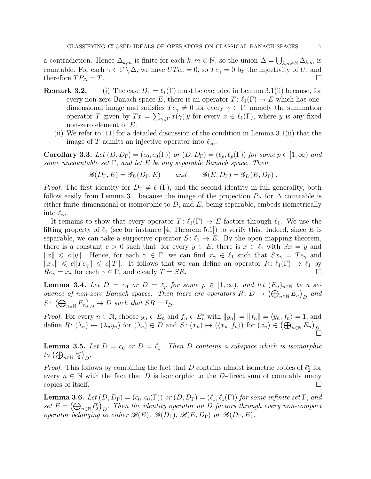a contradiction. Hence  $\Delta_{k,m}$  is finite for each  $k, m \in \mathbb{N}$ , so the union  $\Delta = \bigcup_{k,m \in \mathbb{N}} \Delta_{k,m}$  is countable. For each  $\gamma \in \Gamma \setminus \Delta$ , we have  $UTe_{\gamma} = 0$ , so  $Te_{\gamma} = 0$  by the injectivity of U, and therefore  $TP_{\Delta} = T$ .

- **Remark 3.2.** (i) The case  $D_{\Gamma} = \ell_1(\Gamma)$  must be excluded in Lemma [3.1](#page-5-2)[\(ii\)](#page-5-1) because, for every non-zero Banach space E, there is an operator  $T: \ell_1(\Gamma) \to E$  which has onedimensional image and satisfies  $Te_{\gamma} \neq 0$  for every  $\gamma \in \Gamma$ , namely the summation operator T given by  $Tx = \sum_{\gamma \in \Gamma} x(\gamma) y$  for every  $x \in \ell_1(\Gamma)$ , where y is any fixed non-zero element of E.
	- (ii) We refer to [\[11\]](#page-9-23) for a detailed discussion of the condition in Lemma [3.1](#page-5-2)[\(ii\)](#page-5-1) that the image of T admits an injective operator into  $\ell_{\infty}$ .

<span id="page-6-3"></span>**Corollary 3.3.** Let  $(D, D_{\Gamma}) = (c_0, c_0(\Gamma))$  or  $(D, D_{\Gamma}) = (\ell_p, \ell_p(\Gamma))$  for some  $p \in [1, \infty)$  and some uncountable set  $\Gamma$ , and let E be any separable Banach space. Then

 $\mathscr{B}(D_{\Gamma}, E) = \mathscr{G}_{D}(D_{\Gamma}, E)$  and  $\mathscr{B}(E, D_{\Gamma}) = \mathscr{G}_{D}(E, D_{\Gamma})$ .

*Proof.* The first identity for  $D_{\Gamma} \neq \ell_1(\Gamma)$ , and the second identity in full generality, both follow easily from Lemma [3.1](#page-5-2) because the image of the projection  $P_{\Delta}$  for  $\Delta$  countable is either finite-dimensional or isomorphic to  $D$ , and  $E$ , being separable, embeds isometrically into  $\ell_{\infty}$ .

It remains to show that every operator  $T: \ell_1(\Gamma) \to E$  factors through  $\ell_1$ . We use the lifting property of  $\ell_1$  (see for instance [\[4,](#page-9-24) Theorem 5.1]) to verify this. Indeed, since E is separable, we can take a surjective operator  $S: \ell_1 \to E$ . By the open mapping theorem, there is a constant  $c > 0$  such that, for every  $y \in E$ , there is  $x \in \ell_1$  with  $Sx = y$  and  $||x|| \leq c||y||$ . Hence, for each  $\gamma \in \Gamma$ , we can find  $x_{\gamma} \in \ell_1$  such that  $Sx_{\gamma} = Te_{\gamma}$  and  $||x_{\gamma}|| \leq c||Te_{\gamma}|| \leq c||T||$ . It follows that we can define an operator  $R: \ell_1(\Gamma) \to \ell_1$  by  $Re_{\gamma} = x_{\gamma}$  for each  $\gamma \in \Gamma$ , and clearly  $T = SR$ .

<span id="page-6-0"></span>**Lemma 3.4.** Let  $D = c_0$  or  $D = \ell_p$  for some  $p \in [1,\infty)$ , and let  $(E_n)_{n \in \mathbb{N}}$  be a sequence of non-zero Banach spaces. Then there are operators  $R: D \to (\bigoplus_{n\in \mathbb{N}} E_n)_D$  and  $S: (\bigoplus_{n\in\mathbb{N}} E_n)_D \to D$  such that  $SR = I_D$ .

*Proof.* For every  $n \in \mathbb{N}$ , choose  $y_n \in E_n$  and  $f_n \in E_n^*$  with  $||y_n|| = ||f_n|| = \langle y_n, f_n \rangle = 1$ , and define  $R: (\lambda_n) \mapsto (\lambda_n y_n)$  for  $(\lambda_n) \in D$  and  $S: (x_n) \mapsto (\langle x_n, f_n \rangle)$  for  $(x_n) \in (\bigoplus_{n \in \mathbb{N}} E_n)_{D}$ . ň

<span id="page-6-1"></span>**Lemma 3.5.** Let  $D = c_0$  or  $D = \ell_1$ . Then D contains a subspace which is isomorphic to  $\left(\bigoplus_{n\in\mathbb{N}}\ell_2^n\right)_D$ .

*Proof.* This follows by combining the fact that D contains almost isometric copies of  $\ell_2^n$  for every  $n \in \mathbb{N}$  with the fact that D is isomorphic to the D-direct sum of countably many copies of itself.

<span id="page-6-2"></span>**Lemma 3.6.** Let  $(D, D_{\Gamma}) = (c_0, c_0(\Gamma))$  or  $(D, D_{\Gamma}) = (\ell_1, \ell_1(\Gamma))$  for some infinite set  $\Gamma$ , and set  $E = (\bigoplus_{n \in \mathbb{N}} \ell_2^n)_{D}$ . Then the identity operator on D factors through every non-compact operator belonging to either  $\mathscr{B}(E)$ ,  $\mathscr{B}(D_{\Gamma})$ ,  $\mathscr{B}(E, D_{\Gamma})$  or  $\mathscr{B}(D_{\Gamma}, E)$ .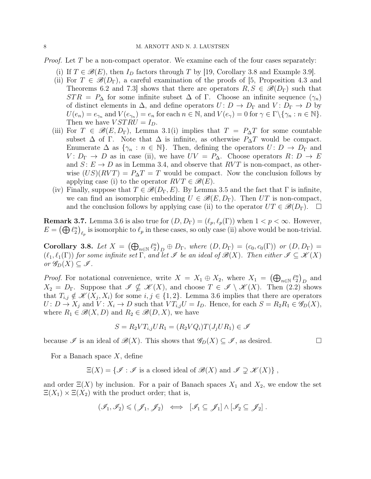<span id="page-7-1"></span>*Proof.* Let T be a non-compact operator. We examine each of the four cases separately:

- (i) If  $T \in \mathcal{B}(E)$ , then  $I_D$  factors through T by [\[19,](#page-9-7) Corollary 3.8 and Example 3.9].
- <span id="page-7-0"></span>(ii) For  $T \in \mathscr{B}(D_{\Gamma})$ , a careful examination of the proofs of [\[5,](#page-9-0) Proposition 4.3 and Theorems 6.2 and 7.3] shows that there are operators  $R, S \in \mathscr{B}(D_{\Gamma})$  such that  $STR = P_{\Delta}$  for some infinite subset  $\Delta$  of  $\Gamma$ . Choose an infinite sequence  $(\gamma_n)$ of distinct elements in  $\Delta$ , and define operators  $U: D \to D_{\Gamma}$  and  $V: D_{\Gamma} \to D$  by  $U(e_n) = e_{\gamma_n}$  and  $V(e_{\gamma_n}) = e_n$  for each  $n \in \mathbb{N}$ , and  $V(e_{\gamma}) = 0$  for  $\gamma \in \Gamma \setminus {\gamma_n : n \in \mathbb{N}}$ . Then we have  $VSTRU = I_D$ .
- (iii) For  $T \in \mathscr{B}(E, D_{\Gamma})$ , Lemma [3.1](#page-5-2)[\(i\)](#page-5-0) implies that  $T = P_{\Delta}T$  for some countable subset  $\Delta$  of Γ. Note that  $\Delta$  is infinite, as otherwise  $P_{\Delta}T$  would be compact. Enumerate  $\Delta$  as  $\{\gamma_n : n \in \mathbb{N}\}\$ . Then, defining the operators  $U: D \to D_{\Gamma}$  and  $V: D_{\Gamma} \to D$  as in case [\(ii\),](#page-7-0) we have  $UV = P_{\Delta}$ . Choose operators  $R: D \to E$ and  $S: E \to D$  as in Lemma [3.4,](#page-6-0) and observe that  $RVT$  is non-compact, as otherwise  $(US)(RVT) = P_\Delta T = T$  would be compact. Now the conclusion follows by applying case [\(i\)](#page-7-1) to the operator  $RVT \in \mathcal{B}(E)$ .
- (iv) Finally, suppose that  $T \in \mathscr{B}(D_{\Gamma}, E)$ . By Lemma [3.5](#page-6-1) and the fact that  $\Gamma$  is infinite, we can find an isomorphic embedding  $U \in \mathscr{B}(E, D_{\Gamma})$ . Then UT is non-compact, and the conclusion follows by applying case [\(ii\)](#page-7-0) to the operator  $UT \in \mathscr{B}(D_{\Gamma})$ .  $\Box$

**Remark 3.7.** Lemma [3.6](#page-6-2) is also true for  $(D, D_{\Gamma}) = (\ell_p, \ell_p(\Gamma))$  when  $1 < p < \infty$ . However,  $E = (\bigoplus \ell_2^n)_{\ell_p}$  is isomorphic to  $\ell_p$  in these cases, so only case [\(ii\)](#page-7-0) above would be non-trivial.

<span id="page-7-2"></span>Corollary 3.8. Let  $X = (\bigoplus_{n\in\mathbb{N}} \ell_2^n)_D \oplus D_{\Gamma}$ , where  $(D, D_{\Gamma}) = (c_0, c_0(\Gamma))$  or  $(D, D_{\Gamma}) =$  $(\ell_1, \ell_1(\Gamma))$  for some infinite set  $\Gamma$ , and let  $\mathscr I$  be an ideal of  $\mathscr B(X)$ . Then either  $\mathscr I \subseteq \mathscr K(X)$ or  $\mathscr{G}_D(X) \subseteq \mathscr{I}$ .

*Proof.* For notational convenience, write  $X = X_1 \oplus X_2$ , where  $X_1 = (\bigoplus_{n \in \mathbb{N}} \ell_2^n)_D$  and  $X_2 = D_\Gamma$ . Suppose that  $\mathscr{I} \nsubseteq \mathscr{K}(X)$ , and choose  $T \in \mathscr{I} \setminus \mathscr{K}(X)$ . Then [\(2.2\)](#page-3-0) shows that  $T_{i,j} \notin \mathcal{K}(X_j, X_i)$  for some  $i, j \in \{1, 2\}$ . Lemma [3.6](#page-6-2) implies that there are operators  $U: D \to X_j$  and  $V: X_i \to D$  such that  $VT_{i,j}U = I_D$ . Hence, for each  $S = R_2R_1 \in \mathscr{G}_D(X)$ , where  $R_1 \in \mathcal{B}(X, D)$  and  $R_2 \in \mathcal{B}(D, X)$ , we have

$$
S = R_2 V T_{i,j} U R_1 = (R_2 V Q_i) T (J_j U R_1) \in \mathcal{I}
$$

because  $\mathscr I$  is an ideal of  $\mathscr B(X)$ . This shows that  $\mathscr G_D(X) \subseteq \mathscr I$ , as desired.

For a Banach space  $X$ , define

 $\Xi(X) = \{ \mathscr{I} : \mathscr{I}$  is a closed ideal of  $\mathscr{B}(X)$  and  $\mathscr{I} \supseteq \mathscr{K}(X) \}$ ,

<span id="page-7-3"></span>and order  $\Xi(X)$  by inclusion. For a pair of Banach spaces  $X_1$  and  $X_2$ , we endow the set  $\Xi(X_1) \times \Xi(X_2)$  with the product order; that is,

$$
(\mathscr{I}_1,\mathscr{I}_2)\leqslant (\mathscr{J}_1,\mathscr{J}_2) \iff [\mathscr{I}_1\subseteq \mathscr{J}_1]\wedge [\mathscr{I}_2\subseteq \mathscr{J}_2]\ .
$$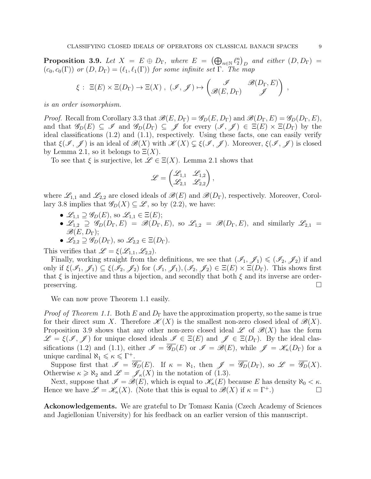**Proposition 3.9.** Let  $X = E \oplus D_{\Gamma}$ , where  $E = (\bigoplus_{n \in \mathbb{N}} \ell_2^n)_D$  and either  $(D, D_{\Gamma}) =$  $(c_0, c_0(\Gamma))$  or  $(D, D_{\Gamma}) = (\ell_1, \ell_1(\Gamma))$  for some infinite set  $\Gamma$ . The map

$$
\xi: \ \Xi(E) \times \Xi(D_{\Gamma}) \to \Xi(X) , \ (\mathscr{I}, \mathscr{J}) \mapsto \begin{pmatrix} \mathscr{I} & \mathscr{B}(D_{\Gamma}, E) \\ \mathscr{B}(E, D_{\Gamma}) & \mathscr{J} \end{pmatrix} ,
$$

is an order isomorphism.

*Proof.* Recall from Corollary [3.3](#page-6-3) that  $\mathscr{B}(E, D_{\Gamma}) = \mathscr{G}_D(E, D_{\Gamma})$  and  $\mathscr{B}(D_{\Gamma}, E) = \mathscr{G}_D(D_{\Gamma}, E)$ , and that  $\mathscr{G}_D(E) \subseteq \mathscr{I}$  and  $\mathscr{G}_D(D_\Gamma) \subseteq \mathscr{J}$  for every  $(\mathscr{I}, \mathscr{J}) \in \Xi(E) \times \Xi(D_\Gamma)$  by the ideal classifications [\(1.2\)](#page-1-1) and [\(1.1\)](#page-0-0), respectively. Using these facts, one can easily verify that  $\xi(\mathscr{I},\mathscr{J})$  is an ideal of  $\mathscr{B}(X)$  with  $\mathscr{K}(X) \subsetneq \xi(\mathscr{I},\mathscr{J})$ . Moreover,  $\xi(\mathscr{I},\mathscr{J})$  is closed by Lemma [2.1,](#page-4-3) so it belongs to  $\Xi(X)$ .

To see that  $\xi$  is surjective, let  $\mathscr{L} \in \Xi(X)$ . Lemma [2.1](#page-4-3) shows that

$$
\mathscr{L}=\begin{pmatrix}\mathscr{L}_{1,1}&\mathscr{L}_{1,2}\\\mathscr{L}_{2,1}&\mathscr{L}_{2,2}\end{pmatrix},
$$

where  $\mathscr{L}_{1,1}$  and  $\mathscr{L}_{2,2}$  are closed ideals of  $\mathscr{B}(E)$  and  $\mathscr{B}(D_{\Gamma})$ , respectively. Moreover, Corol-lary [3.8](#page-7-2) implies that  $\mathscr{G}_D(X) \subseteq \mathscr{L}$ , so by [\(2.2\)](#page-3-0), we have:

- $\mathscr{L}_{1,1} \supseteq \mathscr{G}_D(E)$ , so  $\mathscr{L}_{1,1} \in \Xi(E)$ ;
- $\mathscr{L}_{1,2} \supseteq \mathscr{G}_D(D_\Gamma,E) = \mathscr{B}(D_\Gamma,E)$ , so  $\mathscr{L}_{1,2} = \mathscr{B}(D_\Gamma,E)$ , and similarly  $\mathscr{L}_{2,1} =$  $\mathscr{B}(E, D_{\Gamma});$
- $\mathscr{L}_{2,2} \supseteq \mathscr{G}_D(D_\Gamma)$ , so  $\mathscr{L}_{2,2} \in \Xi(D_\Gamma)$ .

This verifies that  $\mathscr{L} = \xi(\mathscr{L}_{1,1}, \mathscr{L}_{2,2}).$ 

Finally, working straight from the definitions, we see that  $(\mathscr{I}_1, \mathscr{J}_1) \leq (\mathscr{I}_2, \mathscr{J}_2)$  if and only if  $\xi(\mathscr{I}_1,\mathscr{J}_1) \subseteq \xi(\mathscr{I}_2,\mathscr{J}_2)$  for  $(\mathscr{I}_1,\mathscr{J}_1),(\mathscr{I}_2,\mathscr{J}_2) \in \Xi(E) \times \Xi(D_\Gamma)$ . This shows first that  $\xi$  is injective and thus a bijection, and secondly that both  $\xi$  and its inverse are orderpreserving.

We can now prove Theorem [1.1](#page-1-0) easily.

*Proof of Theorem [1.1.](#page-1-0)* Both E and  $D_{\Gamma}$  have the approximation property, so the same is true for their direct sum X. Therefore  $\mathscr{K}(X)$  is the smallest non-zero closed ideal of  $\mathscr{B}(X)$ . Proposition [3.9](#page-7-3) shows that any other non-zero closed ideal  $\mathscr{L}$  of  $\mathscr{B}(X)$  has the form  $\mathscr{L} = \xi(\mathscr{I}, \mathscr{J})$  for unique closed ideals  $\mathscr{I} \in \Xi(E)$  and  $\mathscr{J} \in \Xi(D_{\Gamma})$ . By the ideal clas-sifications [\(1.2\)](#page-1-1) and [\(1.1\)](#page-0-0), either  $\mathscr{I} = \overline{\mathscr{G}_D}(E)$  or  $\mathscr{I} = \mathscr{B}(E)$ , while  $\mathscr{I} = \mathscr{K}_{\kappa}(D_{\Gamma})$  for a unique cardinal  $\aleph_1 \leqslant \kappa \leqslant \Gamma^+$ .

Suppose first that  $\mathscr{I} = \overline{\mathscr{G}_D}(E)$ . If  $\kappa = \aleph_1$ , then  $\mathscr{J} = \overline{\mathscr{G}_D}(D_\Gamma)$ , so  $\mathscr{L} = \overline{\mathscr{G}_D}(X)$ . Otherwise  $\kappa \geq \aleph_2$  and  $\mathscr{L} = \mathscr{J}_{\kappa}(X)$  in the notation of [\(1.3\)](#page-1-2).

Next, suppose that  $\mathscr{I} = \check{\mathscr{B}}(E)$ , which is equal to  $\mathscr{K}_{\kappa}(E)$  because E has density  $\aleph_0 < \kappa$ . Hence we have  $\mathscr{L} = \mathscr{K}_{\kappa}(X)$ . (Note that this is equal to  $\mathscr{B}(X)$  if  $\kappa = \Gamma^+$ .)

Ackonowledgements. We are grateful to Dr Tomasz Kania (Czech Academy of Sciences and Jagiellonian University) for his feedback on an earlier version of this manuscript.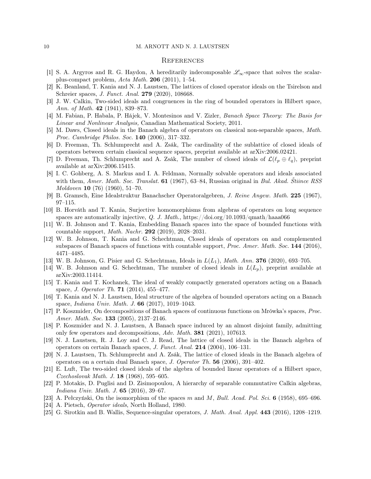#### **REFERENCES**

- <span id="page-9-9"></span>[1] S. A. Argyros and R. G. Haydon, A hereditarily indecomposable  $\mathscr{L}_{\infty}$ -space that solves the scalarplus-compact problem, Acta Math. 206 (2011), 1–54.
- <span id="page-9-20"></span>[2] K. Beanland, T. Kania and N. J. Laustsen, The lattices of closed operator ideals on the Tsirelson and Schreier spaces, J. Funct. Anal. 279 (2020), 108668.
- <span id="page-9-3"></span>[3] J. W. Calkin, Two-sided ideals and congruences in the ring of bounded operators in Hilbert space, Ann. of Math.  $42$  (1941), 839–873.
- <span id="page-9-24"></span>[4] M. Fabian, P. Habala, P. Hájek, V. Montesinos and V. Zizler, Banach Space Theory: The Basis for Linear and Nonlinear Analysis, Canadian Mathematical Society, 2011.
- <span id="page-9-0"></span>[5] M. Daws, Closed ideals in the Banach algebra of operators on classical non-separable spaces, Math. Proc. Cambridge Philos. Soc. 140 (2006), 317–332.
- <span id="page-9-16"></span>[6] D. Freeman, Th. Schlumprecht and A. Zsák, The cardinality of the sublattice of closed ideals of operators between certain classical sequence spaces, preprint available at arXiv:2006.02421.
- <span id="page-9-17"></span>[7] D. Freeman, Th. Schlumprecht and A. Zsák, The number of closed ideals of  $\mathcal{L}(\ell_p \oplus \ell_q)$ , preprint available at arXiv:2006.15415.
- <span id="page-9-4"></span>[8] I. C. Gohberg, A. S. Markus and I. A. Feldman, Normally solvable operators and ideals associated with them, Amer. Math. Soc. Translat. **61** (1967), 63–84, Russian original in Bul. Akad. Štiince RSS Moldoven 10 (76) (1960), 51–70.
- <span id="page-9-5"></span>[9] B. Gramsch, Eine Idealstruktur Banachscher Operatoralgebren, J. Reine Angew. Math. 225 (1967), 97–115.
- <span id="page-9-2"></span>[10] B. Horváth and T. Kania, Surjective homomorphisms from algebras of operators on long sequence spaces are automatically injective, Q. J. Math., https://doi.org/10.1093/qmath/haaa066
- <span id="page-9-23"></span>[11] W. B. Johnson and T. Kania, Embedding Banach spaces into the space of bounded functions with countable support, Math. Nachr. 292 (2019), 2028–2031.
- <span id="page-9-1"></span>[12] W. B. Johnson, T. Kania and G. Schechtman, Closed ideals of operators on and complemented subspaces of Banach spaces of functions with countable support, *Proc. Amer. Math. Soc.* 144 (2016), 4471–4485.
- <span id="page-9-18"></span>[13] W. B. Johnson, G. Pisier and G. Schechtman, Ideals in  $L(L_1)$ , *Math. Ann.* **376** (2020), 693–705.
- <span id="page-9-15"></span>[14] W. B. Johnson and G. Schechtman, The number of closed ideals in  $L(L_p)$ , preprint available at arXiv:2003.11414.
- <span id="page-9-12"></span>[15] T. Kania and T. Kochanek, The ideal of weakly compactly generated operators acting on a Banach space, *J. Operator Th.* **71** (2014), 455-477.
- <span id="page-9-11"></span>[16] T. Kania and N. J. Laustsen, Ideal structure of the algebra of bounded operators acting on a Banach space, Indiana Univ. Math. J. 66 (2017), 1019–1043.
- <span id="page-9-13"></span>[17] P. Koszmider, On decompositions of Banach spaces of continuous functions on Mrówka's spaces, Proc. Amer. Math. Soc. 133 (2005), 2137-2146.
- <span id="page-9-14"></span>[18] P. Koszmider and N. J. Laustsen, A Banach space induced by an almost disjoint family, admitting only few operators and decompositions, Adv. Math. 381 (2021), 107613.
- <span id="page-9-7"></span>[19] N. J. Laustsen, R. J. Loy and C. J. Read, The lattice of closed ideals in the Banach algebra of operators on certain Banach spaces, J. Funct. Anal. 214 (2004), 106–131.
- <span id="page-9-8"></span>[20] N. J. Laustsen, Th. Schlumprecht and A. Zsák, The lattice of closed ideals in the Banach algebra of operators on a certain dual Banach space, J. Operator Th. 56 (2006), 391–402.
- <span id="page-9-6"></span>[21] E. Luft, The two-sided closed ideals of the algebra of bounded linear operators of a Hilbert space, Czechoslovak Math. J. 18 (1968), 595–605.
- <span id="page-9-10"></span>[22] P. Motakis, D. Puglisi and D. Zisimopoulou, A hierarchy of separable commutative Calkin algebras, Indiana Univ. Math. J. 65 (2016), 39–67.
- <span id="page-9-19"></span>[23] A. Pełczyński, On the isomorphism of the spaces m and M, Bull. Acad. Pol. Sci. 6 (1958), 695–696.
- <span id="page-9-22"></span>[24] A. Pietsch, Operator ideals, North Holland, 1980.
- <span id="page-9-21"></span>[25] G. Sirotkin and B. Wallis, Sequence-singular operators, J. Math. Anal. Appl. 443 (2016), 1208–1219.